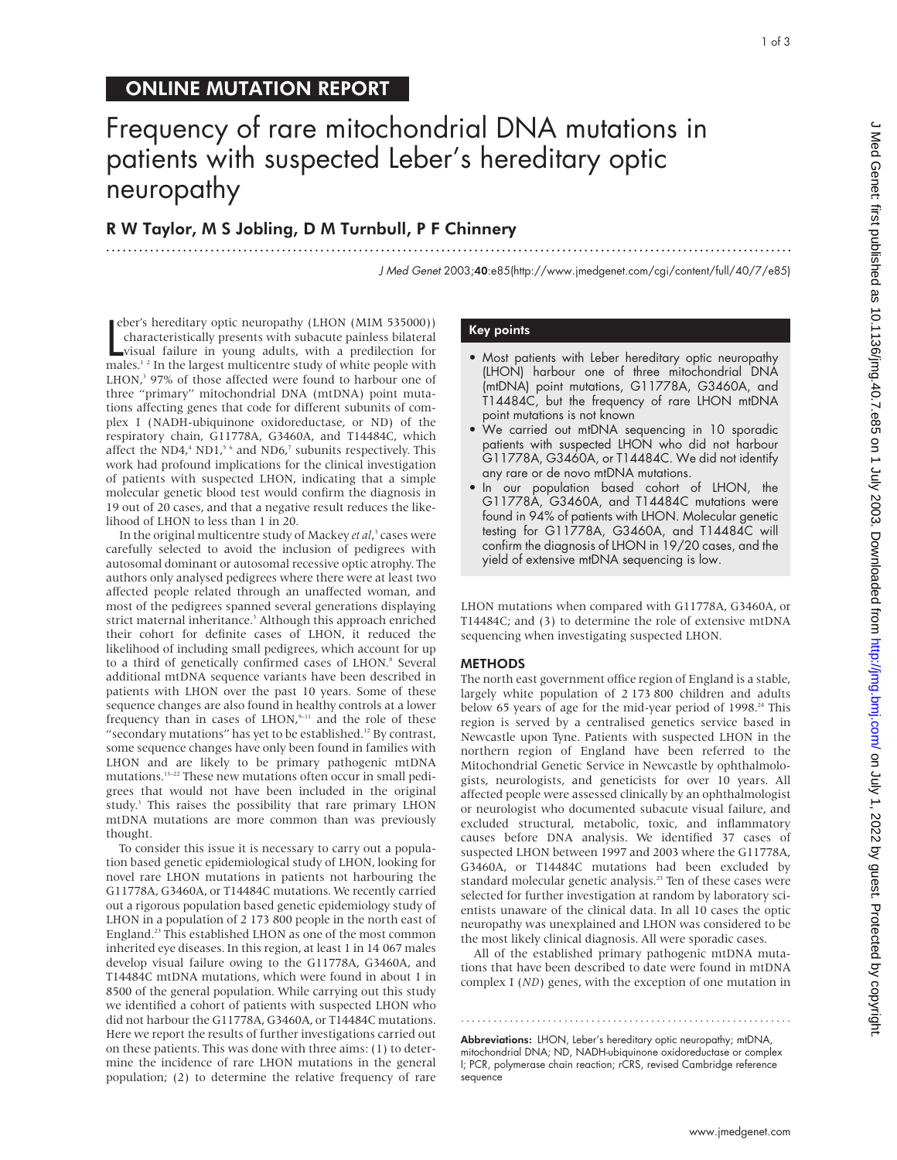## ONLINE MUTATION REPORT

# Frequency of rare mitochondrial DNA mutations in patients with suspected Leber's hereditary optic neuropathy

.............................................................................................................................

## R W Taylor, M S Jobling, D M Turnbull, P F Chinnery

J Med Genet 2003;40:e85(http://www.jmedgenet.com/cgi/content/full/40/7/e85)

eber's hereditary optic neuropathy (LHON (MIM 535000))<br>characteristically presents with subacute painless bilateral<br>visual failure in young adults, with a predilection for<br>males.<sup>12</sup> In the largest multicentre study of whi eber's hereditary optic neuropathy (LHON (MIM 535000)) characteristically presents with subacute painless bilateral visual failure in young adults, with a predilection for LHON,<sup>3</sup> 97% of those affected were found to harbour one of three "primary" mitochondrial DNA (mtDNA) point mutations affecting genes that code for different subunits of complex I (NADH-ubiquinone oxidoreductase, or ND) of the respiratory chain, G11778A, G3460A, and T14484C, which affect the ND4, $4$  ND1, $5$ <sup>6</sup> and ND6, $7$  subunits respectively. This work had profound implications for the clinical investigation of patients with suspected LHON, indicating that a simple molecular genetic blood test would confirm the diagnosis in 19 out of 20 cases, and that a negative result reduces the likelihood of LHON to less than 1 in 20.

In the original multicentre study of Mackey *et al*, <sup>3</sup> cases were carefully selected to avoid the inclusion of pedigrees with autosomal dominant or autosomal recessive optic atrophy. The authors only analysed pedigrees where there were at least two affected people related through an unaffected woman, and most of the pedigrees spanned several generations displaying strict maternal inheritance.<sup>3</sup> Although this approach enriched their cohort for definite cases of LHON, it reduced the likelihood of including small pedigrees, which account for up to a third of genetically confirmed cases of LHON.<sup>8</sup> Several additional mtDNA sequence variants have been described in patients with LHON over the past 10 years. Some of these sequence changes are also found in healthy controls at a lower frequency than in cases of  $LHON$ ,  $9-11$  and the role of these "secondary mutations" has yet to be established.<sup>12</sup> By contrast, some sequence changes have only been found in families with LHON and are likely to be primary pathogenic mtDNA mutations.13–22 These new mutations often occur in small pedigrees that would not have been included in the original study.<sup>3</sup> This raises the possibility that rare primary LHON mtDNA mutations are more common than was previously thought.

To consider this issue it is necessary to carry out a population based genetic epidemiological study of LHON, looking for novel rare LHON mutations in patients not harbouring the G11778A, G3460A, or T14484C mutations. We recently carried out a rigorous population based genetic epidemiology study of LHON in a population of 2 173 800 people in the north east of England.23 This established LHON as one of the most common inherited eye diseases. In this region, at least 1 in 14 067 males develop visual failure owing to the G11778A, G3460A, and T14484C mtDNA mutations, which were found in about 1 in 8500 of the general population. While carrying out this study we identified a cohort of patients with suspected LHON who did not harbour the G11778A, G3460A, or T14484C mutations. Here we report the results of further investigations carried out on these patients. This was done with three aims: (1) to determine the incidence of rare LHON mutations in the general population; (2) to determine the relative frequency of rare

#### Key points

- Most patients with Leber hereditary optic neuropathy (LHON) harbour one of three mitochondrial DNA (mtDNA) point mutations, G11778A, G3460A, and T14484C, but the frequency of rare LHON mtDNA point mutations is not known
- We carried out mtDNA sequencing in 10 sporadic patients with suspected LHON who did not harbour G11778A, G3460A, or T14484C. We did not identify any rare or de novo mtDNA mutations.
- In our population based cohort of LHON, the G11778A, G3460A, and T14484C mutations were found in 94% of patients with LHON. Molecular genetic testing for G11778A, G3460A, and T14484C will confirm the diagnosis of LHON in 19/20 cases, and the yield of extensive mtDNA sequencing is low.

LHON mutations when compared with G11778A, G3460A, or T14484C; and (3) to determine the role of extensive mtDNA sequencing when investigating suspected LHON.

#### METHODS

The north east government office region of England is a stable, largely white population of 2 173 800 children and adults below 65 years of age for the mid-year period of  $1998.<sup>24</sup>$  This region is served by a centralised genetics service based in Newcastle upon Tyne. Patients with suspected LHON in the northern region of England have been referred to the Mitochondrial Genetic Service in Newcastle by ophthalmologists, neurologists, and geneticists for over 10 years. All affected people were assessed clinically by an ophthalmologist or neurologist who documented subacute visual failure, and excluded structural, metabolic, toxic, and inflammatory causes before DNA analysis. We identified 37 cases of suspected LHON between 1997 and 2003 where the G11778A, G3460A, or T14484C mutations had been excluded by standard molecular genetic analysis.<sup>23</sup> Ten of these cases were selected for further investigation at random by laboratory scientists unaware of the clinical data. In all 10 cases the optic neuropathy was unexplained and LHON was considered to be the most likely clinical diagnosis. All were sporadic cases.

All of the established primary pathogenic mtDNA mutations that have been described to date were found in mtDNA complex I (*ND*) genes, with the exception of one mutation in

Abbreviations: LHON, Leber's hereditary optic neuropathy; mtDNA, mitochondrial DNA; ND, NADH-ubiquinone oxidoreductase or complex I; PCR, polymerase chain reaction; rCRS, revised Cambridge reference sequence

.............................................................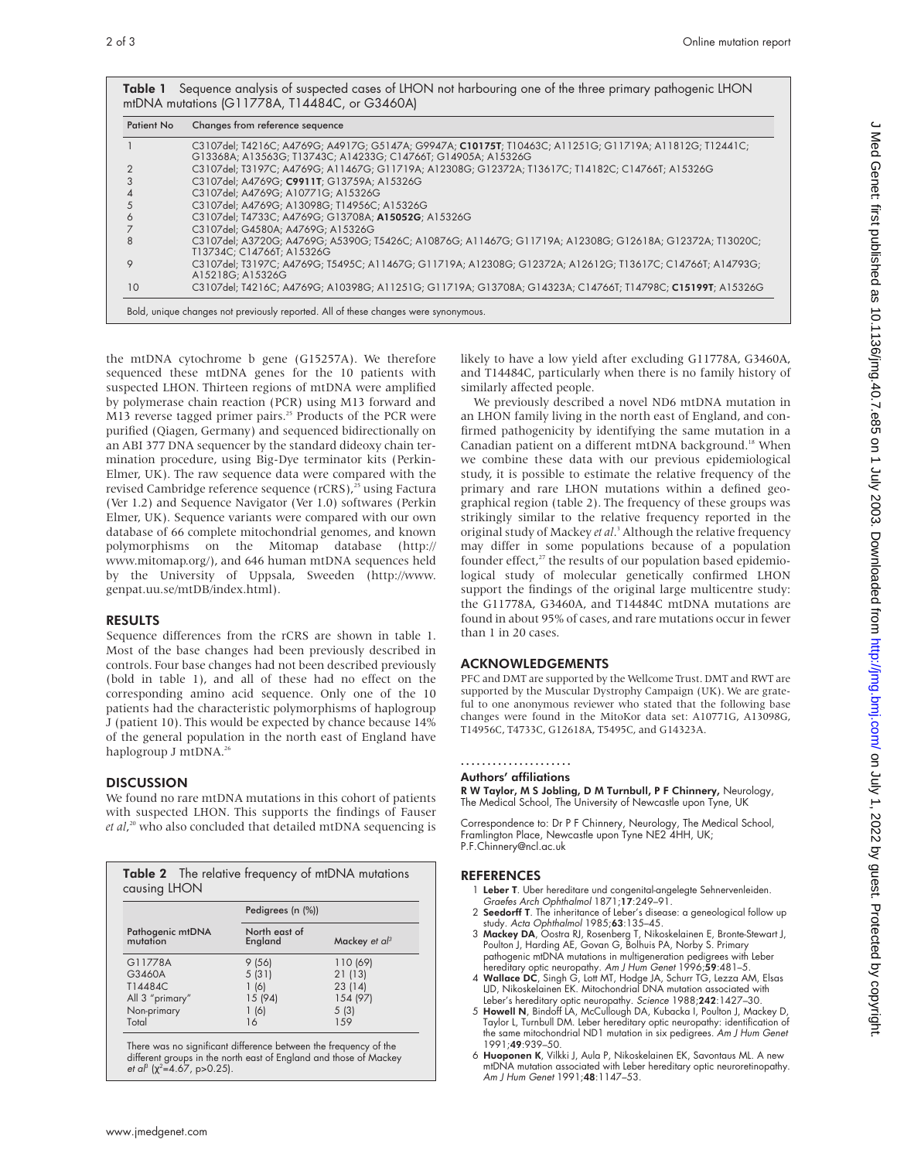| <b>Patient No</b> | Changes from reference sequence                                                                                                                                          |
|-------------------|--------------------------------------------------------------------------------------------------------------------------------------------------------------------------|
|                   | C3107del; T4216C; A4769G; A4917G; G5147A; G9947A; C10175T; T10463C; A11251G; G11719A; A11812G; T12441C;<br>G13368A; A13563G; T13743C; A14233G; C14766T; G14905A; A15326G |
|                   | C3107del: T3197C: A4769G; A11467G; G11719A; A12308G; G12372A; T13617C; T14182C; C14766T; A15326G                                                                         |
|                   | C3107del: A4769G: C9911T: G13759A: A15326G                                                                                                                               |
|                   | C3107del; A4769G; A10771G; A15326G                                                                                                                                       |
|                   | C3107del; A4769G; A13098G; T14956C; A15326G                                                                                                                              |
| 6                 | C3107del: T4733C: A4769G: G13708A: A15052G: A15326G                                                                                                                      |
|                   | C3107del; G4580A; A4769G; A15326G                                                                                                                                        |
| 8                 | C3107del; A3720G; A4769G; A5390G; T5426C; A10876G; A11467G; G11719A; A12308G; G12618A; G12372A; T13020C;<br>T13734C: C14766T: A15326G                                    |
| 9                 | C3107del; T3197C; A4769G; T5495C; A11467G; G11719A; A12308G; G12372A; A12612G; T13617C; C14766T; A14793G;<br>A15218G: A15326G                                            |
| 10                | C3107del; T4216C; A4769G; A10398G; A11251G; G11719A; G13708A; G14323A; C14766T; T14798C; C15199T; A15326G                                                                |

the mtDNA cytochrome b gene (G15257A). We therefore sequenced these mtDNA genes for the 10 patients with suspected LHON. Thirteen regions of mtDNA were amplified by polymerase chain reaction (PCR) using M13 forward and M13 reverse tagged primer pairs.<sup>25</sup> Products of the PCR were purified (Qiagen, Germany) and sequenced bidirectionally on an ABI 377 DNA sequencer by the standard dideoxy chain termination procedure, using Big-Dye terminator kits (Perkin-Elmer, UK). The raw sequence data were compared with the revised Cambridge reference sequence (rCRS),<sup>25</sup> using Factura (Ver 1.2) and Sequence Navigator (Ver 1.0) softwares (Perkin Elmer, UK). Sequence variants were compared with our own database of 66 complete mitochondrial genomes, and known polymorphisms on the Mitomap database (http:// www.mitomap.org/), and 646 human mtDNA sequences held by the University of Uppsala, Sweeden (http://www. genpat.uu.se/mtDB/index.html).

#### RESULTS

Sequence differences from the rCRS are shown in table 1. Most of the base changes had been previously described in controls. Four base changes had not been described previously (bold in table 1), and all of these had no effect on the corresponding amino acid sequence. Only one of the 10 patients had the characteristic polymorphisms of haplogroup J (patient 10). This would be expected by chance because 14% of the general population in the north east of England have haplogroup J mtDNA.<sup>26</sup>

### **DISCUSSION**

We found no rare mtDNA mutations in this cohort of patients with suspected LHON. This supports the findings of Fauser *et al*, <sup>20</sup> who also concluded that detailed mtDNA sequencing is

|                              | Pedigrees (n (%))        |                       |  |
|------------------------------|--------------------------|-----------------------|--|
| Pathogenic mtDNA<br>mutation | North east of<br>England | Mackey et $a^{\beta}$ |  |
| G11778A                      | 9(56)                    | 110 (69)              |  |
| G3460A                       | 5(31)                    | 21(13)                |  |
| T14484C                      | 1(6)                     | 23(14)                |  |
| All 3 "primary"              | 15 (94)                  | 154 (97)              |  |
| Non-primary                  | 1(6)                     | 5(3)                  |  |
| Total                        | 16                       | 1.59                  |  |

There was no significant difference between the frequency of the<br>different groups in the north east of England and those of Mackey<br>*et al<sup>s</sup> (χ<sup>2</sup>=4.67, p>0.25*).

likely to have a low yield after excluding G11778A, G3460A, and T14484C, particularly when there is no family history of similarly affected people.

We previously described a novel ND6 mtDNA mutation in an LHON family living in the north east of England, and confirmed pathogenicity by identifying the same mutation in a Canadian patient on a different mtDNA background.<sup>18</sup> When we combine these data with our previous epidemiological study, it is possible to estimate the relative frequency of the primary and rare LHON mutations within a defined geographical region (table 2). The frequency of these groups was strikingly similar to the relative frequency reported in the original study of Mackey *et al*. <sup>3</sup> Although the relative frequency may differ in some populations because of a population founder effect, $27$  the results of our population based epidemiological study of molecular genetically confirmed LHON support the findings of the original large multicentre study: the G11778A, G3460A, and T14484C mtDNA mutations are found in about 95% of cases, and rare mutations occur in fewer than 1 in 20 cases.

### ACKNOWLEDGEMENTS

PFC and DMT are supported by the Wellcome Trust. DMT and RWT are supported by the Muscular Dystrophy Campaign (UK). We are grateful to one anonymous reviewer who stated that the following base changes were found in the MitoKor data set: A10771G, A13098G, T14956C, T4733C, G12618A, T5495C, and G14323A.

#### ..................... Authors' affiliations

R W Taylor, M S Jobling, D M Turnbull, P F Chinnery, Neurology, The Medical School, The University of Newcastle upon Tyne, UK

Correspondence to: Dr P F Chinnery, Neurology, The Medical School, Framlington Place, Newcastle upon Tyne NE2 4HH, UK; P.F.Chinnery@ncl.ac.uk

#### REFERENCES

- 1 Leber T. Uber hereditare und congenital-angelegte Sehnervenleiden. Graefes Arch Ophthalmol 1871;17:249–91.
- 2 Seedorff T. The inheritance of Leber's disease: a geneological follow up study. Acta Ophthalmol 1985;63:135-45.
- 3 Mackey DA, Oostra RJ, Rosenberg T, Nikoskelainen E, Bronte-Stewart J, Poulton J, Harding AE, Govan G, Bolhuis PA, Norby S. Primary<br>pathogenic mtDNA mutations in multigeneration pedigrees with Leber<br>hereditary optic neuro
- LJD, Nikoskelainen EK. Mitochondrial DNA mutation associated with
- Leber's hereditary optic neuropathy. Science 1988;**242**:1427–30.<br>5 **Howell N**, Bindoff LA, McCullough DA, Kubacka I, Poulton J, Mackey D, Taylor L, Turnbull DM. Leber hereditary optic neuropathy: identification of the same mitochondrial ND1 mutation in six pedigrees. Am J Hum Genet 1991;49:939–50.
- 6 Huoponen K, Vilkki J, Aula P, Nikoskelainen EK, Savontaus ML. A new mtDNA mutation associated with Leber hereditary optic neuroretinopathy. Am J Hum Genet 1991;48:1147–53.